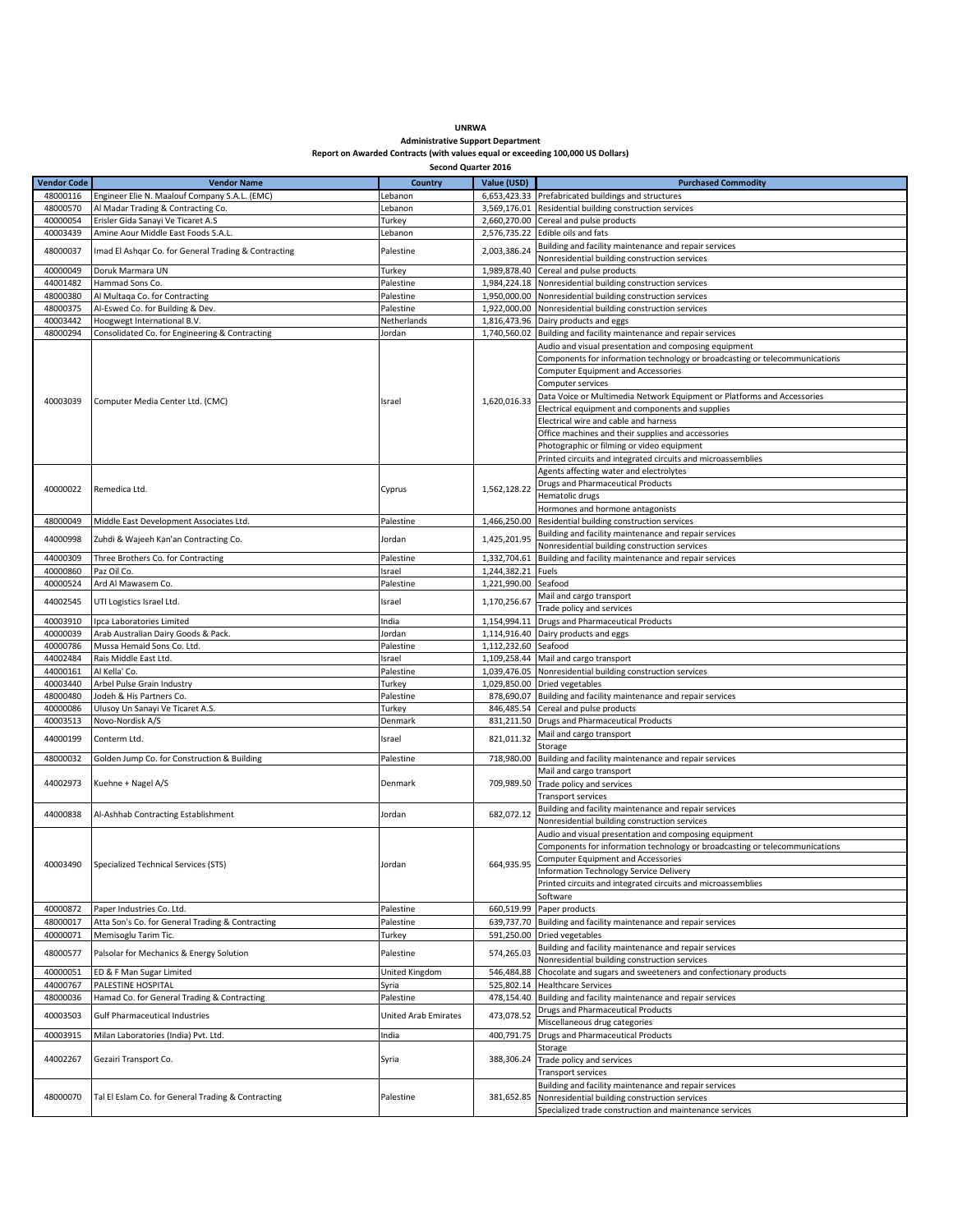## **UNRWA Administrative Support Department Report on Awarded Contracts (with values equal or exceeding 100,000 US Dollars)**

|                    | Second Quarter 2016                                                               |                             |                      |                                                                                                        |  |  |  |
|--------------------|-----------------------------------------------------------------------------------|-----------------------------|----------------------|--------------------------------------------------------------------------------------------------------|--|--|--|
| <b>Vendor Code</b> | <b>Vendor Name</b><br><b>Country</b><br>Value (USD)<br><b>Purchased Commodity</b> |                             |                      |                                                                                                        |  |  |  |
| 48000116           | Engineer Elie N. Maalouf Company S.A.L. (EMC)                                     | Lebanon                     |                      | 6,653,423.33 Prefabricated buildings and structures                                                    |  |  |  |
|                    |                                                                                   |                             |                      |                                                                                                        |  |  |  |
| 48000570           | Al Madar Trading & Contracting Co.                                                | Lebanon                     |                      | 3,569,176.01 Residential building construction services                                                |  |  |  |
| 40000054           | Erisler Gida Sanayi Ve Ticaret A.S                                                | Turkey                      |                      | 2,660,270.00 Cereal and pulse products                                                                 |  |  |  |
| 40003439           | Amine Aour Middle East Foods S.A.L.                                               | Lebanon                     |                      | 2,576,735.22 Edible oils and fats                                                                      |  |  |  |
| 48000037           | Imad El Ashqar Co. for General Trading & Contracting                              | Palestine                   | 2,003,386.24         | Building and facility maintenance and repair services                                                  |  |  |  |
|                    |                                                                                   |                             |                      | Nonresidential building construction services                                                          |  |  |  |
| 40000049           | Doruk Marmara UN                                                                  | Turkey                      | 1,989,878.40         | Cereal and pulse products                                                                              |  |  |  |
| 44001482           | Hammad Sons Co.                                                                   | Palestine                   |                      | 1,984,224.18 Nonresidential building construction services                                             |  |  |  |
| 48000380           | Al Multaqa Co. for Contracting                                                    | Palestine                   |                      | 1,950,000.00 Nonresidential building construction services                                             |  |  |  |
| 48000375           | Al-Eswed Co. for Building & Dev.                                                  | Palestine                   |                      | 1,922,000.00 Nonresidential building construction services                                             |  |  |  |
|                    |                                                                                   |                             |                      |                                                                                                        |  |  |  |
| 40003442           | Hoogwegt International B.V.                                                       | Netherlands                 |                      | 1,816,473.96 Dairy products and eggs                                                                   |  |  |  |
| 48000294           | Consolidated Co. for Engineering & Contracting                                    | Jordan                      |                      | 1,740,560.02 Building and facility maintenance and repair services                                     |  |  |  |
|                    |                                                                                   |                             |                      | Audio and visual presentation and composing equipment                                                  |  |  |  |
|                    |                                                                                   |                             |                      | Components for information technology or broadcasting or telecommunications                            |  |  |  |
|                    |                                                                                   |                             |                      | <b>Computer Equipment and Accessories</b>                                                              |  |  |  |
|                    |                                                                                   |                             |                      | Computer services                                                                                      |  |  |  |
|                    |                                                                                   |                             |                      | Data Voice or Multimedia Network Equipment or Platforms and Accessories                                |  |  |  |
| 40003039           | Computer Media Center Ltd. (CMC)                                                  | Israel                      | 1,620,016.33         | Electrical equipment and components and supplies                                                       |  |  |  |
|                    |                                                                                   |                             |                      | Electrical wire and cable and harness                                                                  |  |  |  |
|                    |                                                                                   |                             |                      |                                                                                                        |  |  |  |
|                    |                                                                                   |                             |                      | Office machines and their supplies and accessories                                                     |  |  |  |
|                    |                                                                                   |                             |                      | Photographic or filming or video equipment                                                             |  |  |  |
|                    |                                                                                   |                             |                      | Printed circuits and integrated circuits and microassemblies                                           |  |  |  |
|                    |                                                                                   |                             |                      | Agents affecting water and electrolytes                                                                |  |  |  |
|                    |                                                                                   |                             |                      | <b>Drugs and Pharmaceutical Products</b>                                                               |  |  |  |
| 40000022           | Remedica Ltd.                                                                     | Cyprus                      | 1,562,128.22         | Hematolic drugs                                                                                        |  |  |  |
|                    |                                                                                   |                             |                      | Hormones and hormone antagonists                                                                       |  |  |  |
|                    |                                                                                   |                             |                      |                                                                                                        |  |  |  |
| 48000049           | Middle East Development Associates Ltd.                                           | Palestine                   | 1,466,250.00         | Residential building construction services                                                             |  |  |  |
| 44000998           | Zuhdi & Wajeeh Kan'an Contracting Co.                                             | Jordan                      | 1,425,201.95         | Building and facility maintenance and repair services                                                  |  |  |  |
|                    |                                                                                   |                             |                      | Nonresidential building construction services                                                          |  |  |  |
| 44000309           | Three Brothers Co. for Contracting                                                | Palestine                   | 1,332,704.61         | Building and facility maintenance and repair services                                                  |  |  |  |
| 40000860           | Paz Oil Co.                                                                       | Israel                      | 1,244,382.21 Fuels   |                                                                                                        |  |  |  |
| 40000524           | Ard Al Mawasem Co.                                                                | Palestine                   | 1,221,990.00 Seafood |                                                                                                        |  |  |  |
|                    |                                                                                   |                             |                      | Mail and cargo transport                                                                               |  |  |  |
| 44002545           | UTI Logistics Israel Ltd.                                                         | Israel                      | 1,170,256.67         | Trade policy and services                                                                              |  |  |  |
| 40003910           | Ipca Laboratories Limited                                                         | India                       |                      | 1,154,994.11 Drugs and Pharmaceutical Products                                                         |  |  |  |
| 40000039           | Arab Australian Dairy Goods & Pack.                                               | Jordan                      |                      | 1,114,916.40 Dairy products and eggs                                                                   |  |  |  |
| 40000786           | Mussa Hemaid Sons Co. Ltd.                                                        | Palestine                   | 1,112,232.60 Seafood |                                                                                                        |  |  |  |
| 44002484           | Rais Middle East Ltd.                                                             | Israel                      |                      | 1,109,258.44 Mail and cargo transport                                                                  |  |  |  |
| 44000161           | Al Kella' Co.                                                                     | Palestine                   |                      | 1,039,476.05 Nonresidential building construction services                                             |  |  |  |
|                    |                                                                                   |                             |                      |                                                                                                        |  |  |  |
| 40003440           | Arbel Pulse Grain Industry                                                        | Turkey                      |                      | 1,029,850.00 Dried vegetables                                                                          |  |  |  |
| 48000480           | Jodeh & His Partners Co.                                                          | Palestine                   |                      | 878,690.07 Building and facility maintenance and repair services                                       |  |  |  |
| 40000086           | Ulusoy Un Sanayi Ve Ticaret A.S.                                                  | Turkey                      |                      | 846,485.54 Cereal and pulse products                                                                   |  |  |  |
| 40003513           | Novo-Nordisk A/S                                                                  | Denmark                     |                      | 831,211.50 Drugs and Pharmaceutical Products                                                           |  |  |  |
| 44000199           | Conterm Ltd.                                                                      | Israel                      | 821,011.32           | Mail and cargo transport                                                                               |  |  |  |
|                    |                                                                                   |                             |                      | Storage                                                                                                |  |  |  |
| 48000032           | Golden Jump Co. for Construction & Building                                       | Palestine                   | 718,980.00           | Building and facility maintenance and repair services                                                  |  |  |  |
|                    |                                                                                   |                             |                      | Mail and cargo transport                                                                               |  |  |  |
| 44002973           | Kuehne + Nagel A/S                                                                | Denmark                     |                      | 709,989.50 Trade policy and services                                                                   |  |  |  |
|                    |                                                                                   |                             |                      | Transport services                                                                                     |  |  |  |
| 44000838           | Al-Ashhab Contracting Establishment                                               | Jordan                      | 682,072.12           | Building and facility maintenance and repair services                                                  |  |  |  |
|                    |                                                                                   |                             |                      | Nonresidential building construction services                                                          |  |  |  |
|                    |                                                                                   |                             |                      | Audio and visual presentation and composing equipment                                                  |  |  |  |
|                    | Specialized Technical Services (STS)                                              |                             |                      | Components for information technology or broadcasting or telecommunications                            |  |  |  |
|                    |                                                                                   | Jordan                      | 664,935.95           | <b>Computer Equipment and Accessories</b>                                                              |  |  |  |
| 40003490           |                                                                                   |                             |                      | Information Technology Service Delivery                                                                |  |  |  |
|                    |                                                                                   |                             |                      | Printed circuits and integrated circuits and microassemblies                                           |  |  |  |
|                    |                                                                                   |                             |                      | Software                                                                                               |  |  |  |
| 40000872           | Paper Industries Co. Ltd.                                                         | Palestine                   | 660.519.99           | Paper products                                                                                         |  |  |  |
| 48000017           | Atta Son's Co. for General Trading & Contracting                                  | Palestine                   | 639,737.70           | Building and facility maintenance and repair services                                                  |  |  |  |
| 40000071           | Memisoglu Tarim Tic.                                                              |                             |                      | 591,250.00 Dried vegetables                                                                            |  |  |  |
|                    |                                                                                   | Turkey                      |                      |                                                                                                        |  |  |  |
| 48000577           | Palsolar for Mechanics & Energy Solution                                          | Palestine                   | 574,265.03           | Building and facility maintenance and repair services                                                  |  |  |  |
|                    |                                                                                   |                             |                      | Nonresidential building construction services                                                          |  |  |  |
| 40000051           | ED & F Man Sugar Limited                                                          | United Kingdom              | 546,484.88           | Chocolate and sugars and sweeteners and confectionary products                                         |  |  |  |
| 44000767           | PALESTINE HOSPITAL                                                                | Syria                       |                      | 525,802.14 Healthcare Services                                                                         |  |  |  |
| 48000036           | Hamad Co. for General Trading & Contracting                                       | Palestine                   |                      | 478,154.40 Building and facility maintenance and repair services                                       |  |  |  |
| 40003503           | <b>Gulf Pharmaceutical Industries</b>                                             | <b>United Arab Emirates</b> | 473,078.52           | <b>Drugs and Pharmaceutical Products</b>                                                               |  |  |  |
| 40003915           | Milan Laboratories (India) Pvt. Ltd.                                              |                             | 400,791.75           | Miscellaneous drug categories<br><b>Drugs and Pharmaceutical Products</b>                              |  |  |  |
|                    |                                                                                   | India                       |                      | Storage                                                                                                |  |  |  |
| 44002267           | Gezairi Transport Co.                                                             | Syria<br>Palestine          | 388,306.24           | Trade policy and services                                                                              |  |  |  |
|                    |                                                                                   |                             |                      | Transport services                                                                                     |  |  |  |
|                    |                                                                                   |                             |                      |                                                                                                        |  |  |  |
| 48000070           | Tal El Eslam Co. for General Trading & Contracting                                |                             | 381,652.85           | Building and facility maintenance and repair services<br>Nonresidential building construction services |  |  |  |
|                    |                                                                                   |                             |                      | Specialized trade construction and maintenance services                                                |  |  |  |
|                    |                                                                                   |                             |                      |                                                                                                        |  |  |  |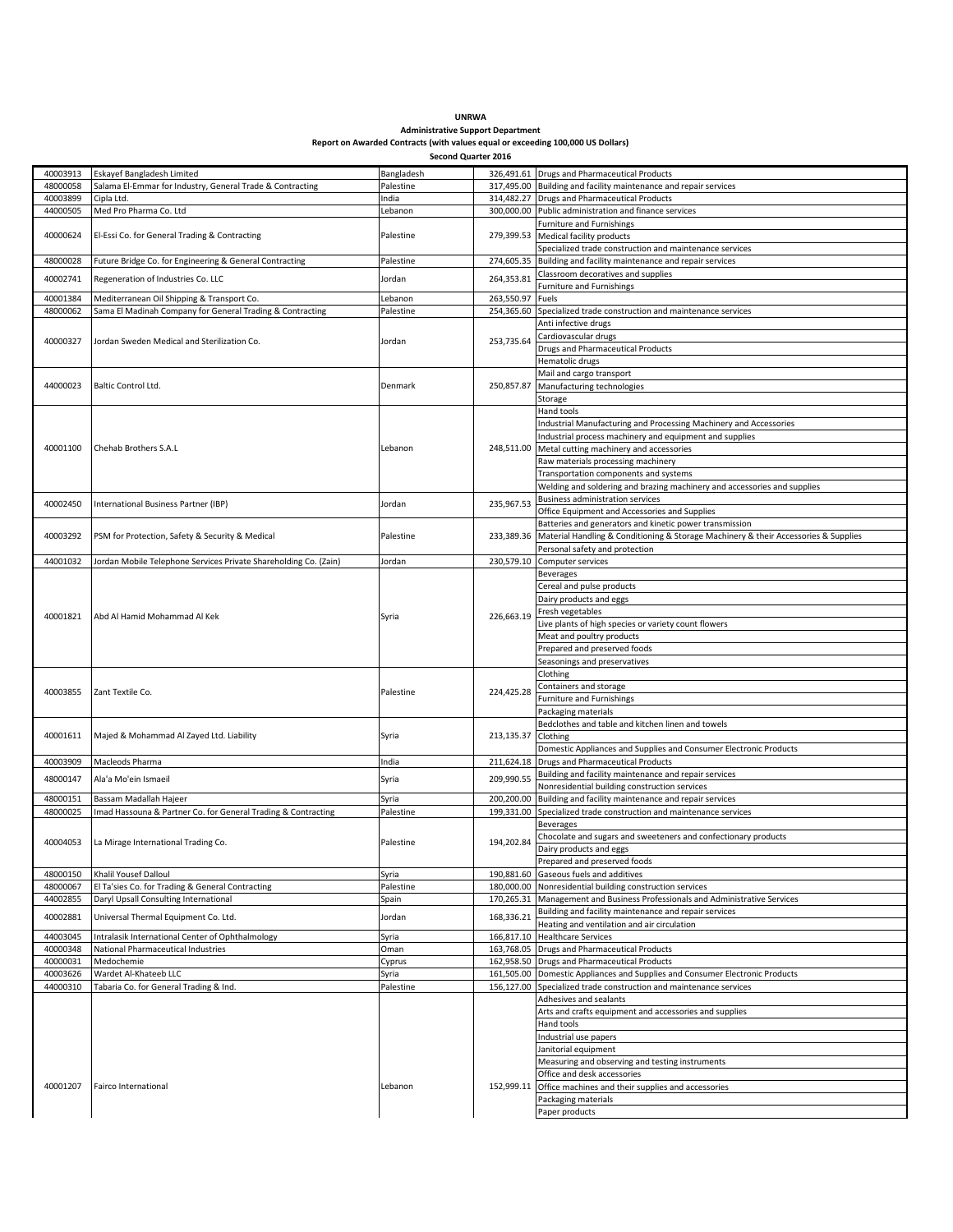| <b>UNRWA</b>                                                                    |
|---------------------------------------------------------------------------------|
| <b>Administrative Support Department</b>                                        |
| Report on Awarded Contracts (with values equal or exceeding 100,000 US Dollars) |

|                      | Second Quarter 2016                                              |            |            |                                                                                                        |  |  |  |  |
|----------------------|------------------------------------------------------------------|------------|------------|--------------------------------------------------------------------------------------------------------|--|--|--|--|
| 40003913             | Eskayef Bangladesh Limited                                       | Bangladesh |            | 326,491.61 Drugs and Pharmaceutical Products                                                           |  |  |  |  |
| 48000058             | Salama El-Emmar for Industry, General Trade & Contracting        | Palestine  |            | 317,495.00 Building and facility maintenance and repair services                                       |  |  |  |  |
| 40003899             | Cipla Ltd.                                                       | India      |            | 314,482.27 Drugs and Pharmaceutical Products                                                           |  |  |  |  |
| 44000505             | Med Pro Pharma Co. Ltd                                           | Lebanon    | 300,000.00 | Public administration and finance services                                                             |  |  |  |  |
|                      |                                                                  |            |            | Furniture and Furnishings                                                                              |  |  |  |  |
| 40000624             | El-Essi Co. for General Trading & Contracting                    | Palestine  |            | 279,399.53 Medical facility products                                                                   |  |  |  |  |
|                      |                                                                  |            |            | Specialized trade construction and maintenance services                                                |  |  |  |  |
| 48000028             | Future Bridge Co. for Engineering & General Contracting          | Palestine  |            | 274,605.35 Building and facility maintenance and repair services<br>Classroom decoratives and supplies |  |  |  |  |
| 40002741             | Regeneration of Industries Co. LLC                               | Jordan     | 264,353.81 | Furniture and Furnishings                                                                              |  |  |  |  |
| 40001384             | Mediterranean Oil Shipping & Transport Co.                       | Lebanon    | 263,550.97 | Fuels                                                                                                  |  |  |  |  |
| 48000062             | Sama El Madinah Company for General Trading & Contracting        | Palestine  | 254,365.60 | Specialized trade construction and maintenance services                                                |  |  |  |  |
|                      |                                                                  |            |            | Anti infective drugs                                                                                   |  |  |  |  |
| 40000327             | Jordan Sweden Medical and Sterilization Co.                      | Jordan     | 253.735.64 | Cardiovascular drugs                                                                                   |  |  |  |  |
|                      |                                                                  |            |            | <b>Drugs and Pharmaceutical Products</b>                                                               |  |  |  |  |
|                      |                                                                  |            |            | Hematolic drugs                                                                                        |  |  |  |  |
|                      |                                                                  |            |            | Mail and cargo transport                                                                               |  |  |  |  |
| 44000023             | Baltic Control Ltd.                                              | Denmark    | 250,857.87 | Manufacturing technologies                                                                             |  |  |  |  |
|                      |                                                                  |            |            | Storage<br>Hand tools                                                                                  |  |  |  |  |
|                      |                                                                  |            |            | Industrial Manufacturing and Processing Machinery and Accessories                                      |  |  |  |  |
|                      |                                                                  |            |            | Industrial process machinery and equipment and supplies                                                |  |  |  |  |
| 40001100             | Chehab Brothers S.A.L                                            | Lebanon    | 248,511.00 | Metal cutting machinery and accessories                                                                |  |  |  |  |
|                      |                                                                  |            |            | Raw materials processing machinery                                                                     |  |  |  |  |
|                      |                                                                  |            |            | Transportation components and systems                                                                  |  |  |  |  |
|                      |                                                                  |            |            | Welding and soldering and brazing machinery and accessories and supplies                               |  |  |  |  |
| 40002450             | International Business Partner (IBP)                             | Jordan     | 235,967.53 | <b>Business administration services</b>                                                                |  |  |  |  |
|                      |                                                                  |            |            | Office Equipment and Accessories and Supplies                                                          |  |  |  |  |
|                      |                                                                  |            |            | Batteries and generators and kinetic power transmission                                                |  |  |  |  |
| 40003292             | PSM for Protection, Safety & Security & Medical                  | Palestine  | 233,389.36 | Material Handling & Conditioning & Storage Machinery & their Accessories & Supplies                    |  |  |  |  |
| 44001032             |                                                                  |            |            | Personal safety and protection<br>Computer services                                                    |  |  |  |  |
|                      | Jordan Mobile Telephone Services Private Shareholding Co. (Zain) | Jordan     | 230,579.10 | <b>Beverages</b>                                                                                       |  |  |  |  |
|                      |                                                                  |            |            | Cereal and pulse products                                                                              |  |  |  |  |
|                      |                                                                  |            |            | Dairy products and eggs                                                                                |  |  |  |  |
|                      |                                                                  |            |            | Fresh vegetables                                                                                       |  |  |  |  |
| 40001821             | Abd Al Hamid Mohammad Al Kek                                     | Syria      | 226,663.19 | Live plants of high species or variety count flowers                                                   |  |  |  |  |
|                      |                                                                  |            |            | Meat and poultry products                                                                              |  |  |  |  |
|                      |                                                                  |            |            | Prepared and preserved foods                                                                           |  |  |  |  |
|                      |                                                                  |            |            | Seasonings and preservatives                                                                           |  |  |  |  |
|                      |                                                                  |            |            | Clothing                                                                                               |  |  |  |  |
| 40003855             | Zant Textile Co.                                                 | Palestine  | 224,425.28 | Containers and storage                                                                                 |  |  |  |  |
|                      |                                                                  |            |            | Furniture and Furnishings                                                                              |  |  |  |  |
|                      |                                                                  |            |            | Packaging materials<br>Bedclothes and table and kitchen linen and towels                               |  |  |  |  |
| 40001611             | Majed & Mohammad Al Zayed Ltd. Liability                         | Syria      | 213,135.37 | Clothing                                                                                               |  |  |  |  |
|                      |                                                                  |            |            | Domestic Appliances and Supplies and Consumer Electronic Products                                      |  |  |  |  |
| 40003909             | Macleods Pharma                                                  | India      | 211,624.18 | <b>Drugs and Pharmaceutical Products</b>                                                               |  |  |  |  |
| 48000147             | Ala'a Mo'ein Ismaeil                                             | Syria      | 209,990.55 | Building and facility maintenance and repair services                                                  |  |  |  |  |
|                      |                                                                  |            |            | Nonresidential building construction services                                                          |  |  |  |  |
| 48000151             | Bassam Madallah Hajeer                                           | Syria      | 200,200.00 | Building and facility maintenance and repair services                                                  |  |  |  |  |
| 48000025             | Imad Hassouna & Partner Co. for General Trading & Contracting    | Palestine  | 199,331.00 | Specialized trade construction and maintenance services                                                |  |  |  |  |
|                      |                                                                  |            |            | <b>Beverages</b>                                                                                       |  |  |  |  |
| 40004053             | La Mirage International Trading Co.                              | Palestine  | 194,202.84 | Chocolate and sugars and sweeteners and confectionary products                                         |  |  |  |  |
|                      |                                                                  |            |            | Dairy products and eggs<br>Prepared and preserved foods                                                |  |  |  |  |
| 48000150             | Khalil Yousef Dalloul                                            | Syria      | 190,881.60 | Gaseous fuels and additives                                                                            |  |  |  |  |
| 48000067             | El Ta'sies Co. for Trading & General Contracting                 | Palestine  | 180,000.00 | Nonresidential building construction services                                                          |  |  |  |  |
| 44002855             | Daryl Upsall Consulting International                            | Spain      | 170,265.31 | Management and Business Professionals and Administrative Services                                      |  |  |  |  |
| 40002881             | Universal Thermal Equipment Co. Ltd.                             | Jordan     | 168,336.21 | Building and facility maintenance and repair services                                                  |  |  |  |  |
|                      |                                                                  |            |            | Heating and ventilation and air circulation                                                            |  |  |  |  |
| 44003045             | Intralasik International Center of Ophthalmology                 | Syria      | 166,817.10 | <b>Healthcare Services</b>                                                                             |  |  |  |  |
| 40000348             | National Pharmaceutical Industries                               | Oman       | 163,768.05 | <b>Drugs and Pharmaceutical Products</b>                                                               |  |  |  |  |
| 40000031             | Medochemie<br>Wardet Al-Khateeb LLC                              | Cyprus     |            | 162,958.50 Drugs and Pharmaceutical Products                                                           |  |  |  |  |
| 40003626<br>44000310 |                                                                  | Syria      | 161,505.00 | Domestic Appliances and Supplies and Consumer Electronic Products                                      |  |  |  |  |
|                      | Tabaria Co. for General Trading & Ind.                           | Palestine  |            | 156,127.00 Specialized trade construction and maintenance services<br>Adhesives and sealants           |  |  |  |  |
|                      |                                                                  |            |            | Arts and crafts equipment and accessories and supplies                                                 |  |  |  |  |
|                      |                                                                  |            |            | Hand tools                                                                                             |  |  |  |  |
|                      |                                                                  |            |            | Industrial use papers                                                                                  |  |  |  |  |
|                      |                                                                  |            |            | Janitorial equipment                                                                                   |  |  |  |  |
|                      |                                                                  |            |            | Measuring and observing and testing instruments                                                        |  |  |  |  |
|                      |                                                                  |            |            | Office and desk accessories                                                                            |  |  |  |  |
| 40001207             | Fairco International                                             | Lebanon    |            | 152,999.11 Office machines and their supplies and accessories                                          |  |  |  |  |
|                      |                                                                  |            |            | Packaging materials                                                                                    |  |  |  |  |
|                      |                                                                  |            |            | Paper products                                                                                         |  |  |  |  |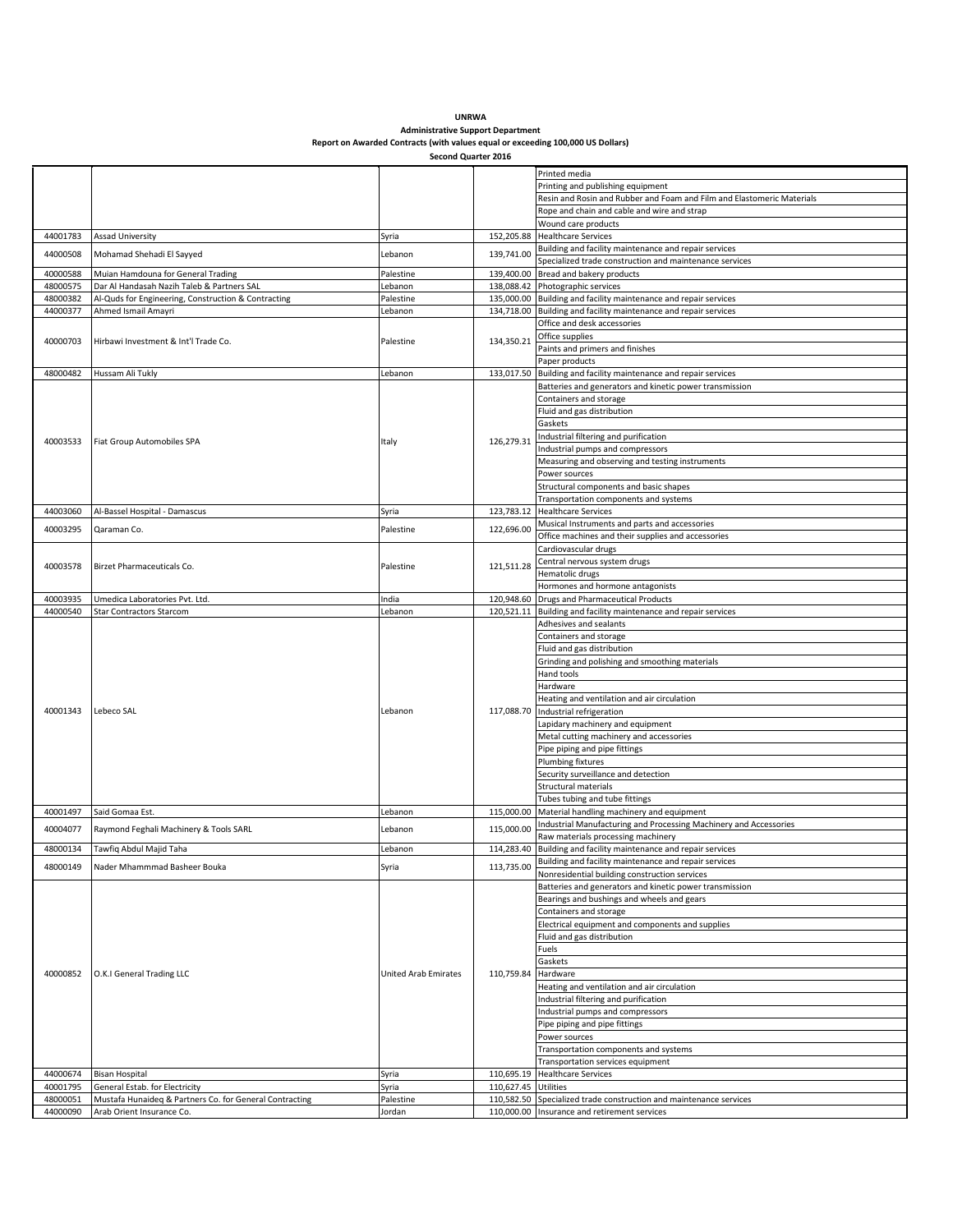| <b>UNRWA</b>                                                                    |
|---------------------------------------------------------------------------------|
| <b>Administrative Support Department</b>                                        |
| Report on Awarded Contracts (with values equal or exceeding 100,000 US Dollars) |

| Second Quarter 2016 |  |  |
|---------------------|--|--|
|---------------------|--|--|

|                      |                                                                                      |                             |                      | Printed media                                                                                                      |
|----------------------|--------------------------------------------------------------------------------------|-----------------------------|----------------------|--------------------------------------------------------------------------------------------------------------------|
|                      |                                                                                      |                             |                      |                                                                                                                    |
|                      |                                                                                      |                             |                      | Printing and publishing equipment                                                                                  |
|                      |                                                                                      |                             |                      | Resin and Rosin and Rubber and Foam and Film and Elastomeric Materials                                             |
|                      |                                                                                      |                             |                      | Rope and chain and cable and wire and strap                                                                        |
|                      |                                                                                      |                             |                      | Wound care products                                                                                                |
| 44001783             | <b>Assad University</b>                                                              | Syria                       |                      | 152,205.88 Healthcare Services                                                                                     |
| 44000508             | Mohamad Shehadi El Sayyed                                                            | Lebanon                     | 139.741.00           | Building and facility maintenance and repair services                                                              |
|                      |                                                                                      |                             |                      | Specialized trade construction and maintenance services                                                            |
| 40000588             | Muian Hamdouna for General Trading                                                   | Palestine                   |                      | 139,400.00 Bread and bakery products                                                                               |
| 48000575             | Dar Al Handasah Nazih Taleb & Partners SAL                                           | Lebanon                     |                      | 138,088.42 Photographic services                                                                                   |
| 48000382             | Al-Quds for Engineering, Construction & Contracting                                  | Palestine                   |                      | 135,000.00 Building and facility maintenance and repair services                                                   |
| 44000377             | Ahmed Ismail Amayri                                                                  | Lebanon                     |                      | 134,718.00 Building and facility maintenance and repair services                                                   |
|                      |                                                                                      |                             |                      | Office and desk accessories                                                                                        |
|                      |                                                                                      |                             |                      |                                                                                                                    |
| 40000703             | Hirbawi Investment & Int'l Trade Co.                                                 | Palestine                   | 134,350.21           | Office supplies                                                                                                    |
|                      |                                                                                      |                             |                      | Paints and primers and finishes                                                                                    |
|                      |                                                                                      |                             |                      | Paper products                                                                                                     |
| 48000482             | Hussam Ali Tukly                                                                     | Lebanon                     |                      | 133,017.50 Building and facility maintenance and repair services                                                   |
|                      |                                                                                      |                             |                      | Batteries and generators and kinetic power transmission                                                            |
|                      |                                                                                      |                             |                      | Containers and storage                                                                                             |
|                      |                                                                                      |                             |                      | Fluid and gas distribution                                                                                         |
|                      |                                                                                      |                             |                      | Gaskets                                                                                                            |
|                      |                                                                                      |                             |                      | Industrial filtering and purification                                                                              |
| 40003533             | Fiat Group Automobiles SPA                                                           | Italy                       | 126,279.31           | Industrial pumps and compressors                                                                                   |
|                      |                                                                                      |                             |                      |                                                                                                                    |
|                      |                                                                                      |                             |                      | Measuring and observing and testing instruments                                                                    |
|                      |                                                                                      |                             |                      | Power sources                                                                                                      |
|                      |                                                                                      |                             |                      | Structural components and basic shapes                                                                             |
|                      |                                                                                      |                             |                      | Transportation components and systems                                                                              |
| 44003060             | Al-Bassel Hospital - Damascus                                                        | Syria                       |                      | 123,783.12 Healthcare Services                                                                                     |
|                      |                                                                                      |                             |                      | Musical Instruments and parts and accessories                                                                      |
| 40003295             | Qaraman Co.                                                                          | Palestine                   | 122,696.00           | Office machines and their supplies and accessories                                                                 |
|                      |                                                                                      |                             |                      | Cardiovascular drugs                                                                                               |
|                      |                                                                                      |                             |                      | Central nervous system drugs                                                                                       |
| 40003578             | Birzet Pharmaceuticals Co.                                                           | Palestine                   | 121,511.28           | Hematolic drugs                                                                                                    |
|                      |                                                                                      |                             |                      |                                                                                                                    |
|                      |                                                                                      |                             |                      | Hormones and hormone antagonists                                                                                   |
| 40003935             | Umedica Laboratories Pvt. Ltd.                                                       | India                       | 120,948.60           | <b>Drugs and Pharmaceutical Products</b>                                                                           |
| 44000540             | <b>Star Contractors Starcom</b>                                                      | Lebanon                     |                      | 120,521.11 Building and facility maintenance and repair services                                                   |
|                      |                                                                                      |                             |                      | Adhesives and sealants                                                                                             |
|                      |                                                                                      |                             |                      | Containers and storage                                                                                             |
|                      |                                                                                      |                             |                      | Fluid and gas distribution                                                                                         |
|                      |                                                                                      |                             |                      | Grinding and polishing and smoothing materials                                                                     |
|                      |                                                                                      |                             |                      | Hand tools                                                                                                         |
|                      |                                                                                      |                             |                      | Hardware                                                                                                           |
|                      |                                                                                      |                             |                      |                                                                                                                    |
| 40001343             |                                                                                      |                             |                      | Heating and ventilation and air circulation                                                                        |
|                      |                                                                                      |                             |                      |                                                                                                                    |
|                      | Lebeco SAL                                                                           | Lebanon                     | 117,088.70           | Industrial refrigeration                                                                                           |
|                      |                                                                                      |                             |                      | Lapidary machinery and equipment                                                                                   |
|                      |                                                                                      |                             |                      | Metal cutting machinery and accessories                                                                            |
|                      |                                                                                      |                             |                      | Pipe piping and pipe fittings                                                                                      |
|                      |                                                                                      |                             |                      | Plumbing fixtures                                                                                                  |
|                      |                                                                                      |                             |                      |                                                                                                                    |
|                      |                                                                                      |                             |                      | Security surveillance and detection                                                                                |
|                      |                                                                                      |                             |                      | Structural materials                                                                                               |
|                      |                                                                                      |                             |                      | Tubes tubing and tube fittings                                                                                     |
| 40001497             | Said Gomaa Est.                                                                      | Lebanon                     |                      | 115,000.00 Material handling machinery and equipment                                                               |
| 40004077             | Raymond Feghali Machinery & Tools SARL                                               | Lebanon                     | 115,000.00           | Industrial Manufacturing and Processing Machinery and Accessories                                                  |
|                      |                                                                                      |                             |                      | Raw materials processing machinery                                                                                 |
| 48000134             | Tawfiq Abdul Majid Taha                                                              | Lebanon                     |                      | 114,283.40 Building and facility maintenance and repair services                                                   |
|                      |                                                                                      |                             |                      | Building and facility maintenance and repair services                                                              |
| 48000149             | Nader Mhammmad Basheer Bouka                                                         | Syria                       | 113,735.00           | Nonresidential building construction services                                                                      |
|                      |                                                                                      |                             |                      | Batteries and generators and kinetic power transmission                                                            |
|                      |                                                                                      |                             |                      |                                                                                                                    |
|                      |                                                                                      |                             |                      | Bearings and bushings and wheels and gears                                                                         |
|                      |                                                                                      |                             |                      | Containers and storage                                                                                             |
|                      |                                                                                      |                             |                      | Electrical equipment and components and supplies                                                                   |
|                      |                                                                                      |                             |                      | Fluid and gas distribution                                                                                         |
|                      |                                                                                      |                             |                      | Fuels                                                                                                              |
|                      |                                                                                      |                             |                      | Gaskets                                                                                                            |
| 40000852             | O.K.I General Trading LLC                                                            | <b>United Arab Emirates</b> | 110,759.84           | Hardware                                                                                                           |
|                      |                                                                                      |                             |                      | Heating and ventilation and air circulation                                                                        |
|                      |                                                                                      |                             |                      | Industrial filtering and purification                                                                              |
|                      |                                                                                      |                             |                      | Industrial pumps and compressors                                                                                   |
|                      |                                                                                      |                             |                      |                                                                                                                    |
|                      |                                                                                      |                             |                      | Pipe piping and pipe fittings                                                                                      |
|                      |                                                                                      |                             |                      | Power sources                                                                                                      |
|                      |                                                                                      |                             |                      | Transportation components and systems                                                                              |
|                      |                                                                                      |                             |                      | Transportation services equipment                                                                                  |
| 44000674             | <b>Bisan Hospital</b>                                                                | Syria                       |                      | 110,695.19 Healthcare Services                                                                                     |
| 40001795             | General Estab. for Electricity                                                       | Syria                       | 110,627.45 Utilities |                                                                                                                    |
| 48000051<br>44000090 | Mustafa Hunaideq & Partners Co. for General Contracting<br>Arab Orient Insurance Co. | Palestine<br>Jordan         |                      | 110,582.50 Specialized trade construction and maintenance services<br>110,000.00 Insurance and retirement services |